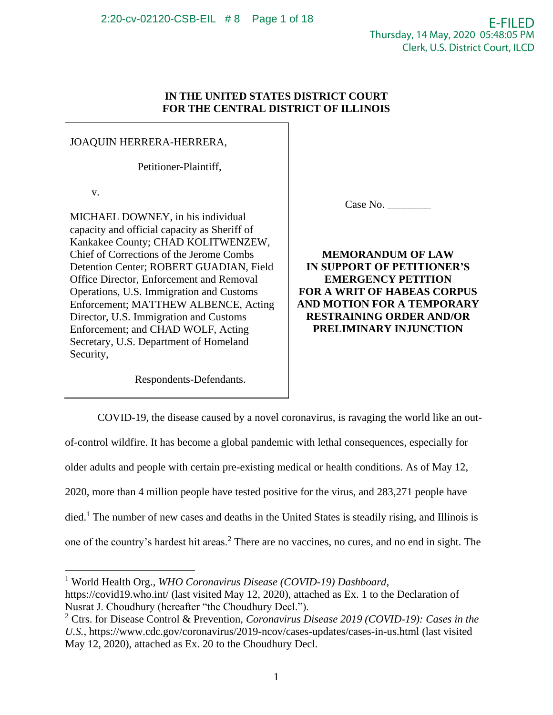## **IN THE UNITED STATES DISTRICT COURT FOR THE CENTRAL DISTRICT OF ILLINOIS**

# JOAQUIN HERRERA-HERRERA,

Petitioner-Plaintiff,

v.

MICHAEL DOWNEY, in his individual capacity and official capacity as Sheriff of Kankakee County; CHAD KOLITWENZEW, Chief of Corrections of the Jerome Combs Detention Center; ROBERT GUADIAN, Field Office Director, Enforcement and Removal Operations, U.S. Immigration and Customs Enforcement; MATTHEW ALBENCE, Acting Director, U.S. Immigration and Customs Enforcement; and CHAD WOLF, Acting Secretary, U.S. Department of Homeland Security,

Respondents-Defendants.

Case No. \_\_\_\_\_\_\_\_

**MEMORANDUM OF LAW IN SUPPORT OF PETITIONER'S EMERGENCY PETITION FOR A WRIT OF HABEAS CORPUS AND MOTION FOR A TEMPORARY RESTRAINING ORDER AND/OR PRELIMINARY INJUNCTION**

COVID-19, the disease caused by a novel coronavirus, is ravaging the world like an outof-control wildfire. It has become a global pandemic with lethal consequences, especially for older adults and people with certain pre-existing medical or health conditions. As of May 12, 2020, more than 4 million people have tested positive for the virus, and 283,271 people have died.<sup>1</sup> The number of new cases and deaths in the United States is steadily rising, and Illinois is one of the country's hardest hit areas.<sup>2</sup> There are no vaccines, no cures, and no end in sight. The

<sup>1</sup> World Health Org., *WHO Coronavirus Disease (COVID-19) Dashboard*, <https://covid19.who.int/> (last visited May 12, 2020), attached as Ex. 1 to the Declaration of Nusrat J. Choudhury (hereafter "the Choudhury Decl.").

<sup>2</sup> Ctrs. for Disease Control & Prevention, *Coronavirus Disease 2019 (COVID-19): Cases in the U.S.*,<https://www.cdc.gov/coronavirus/2019-ncov/cases-updates/cases-in-us.html> (last visited May 12, 2020), attached as Ex. 20 to the Choudhury Decl.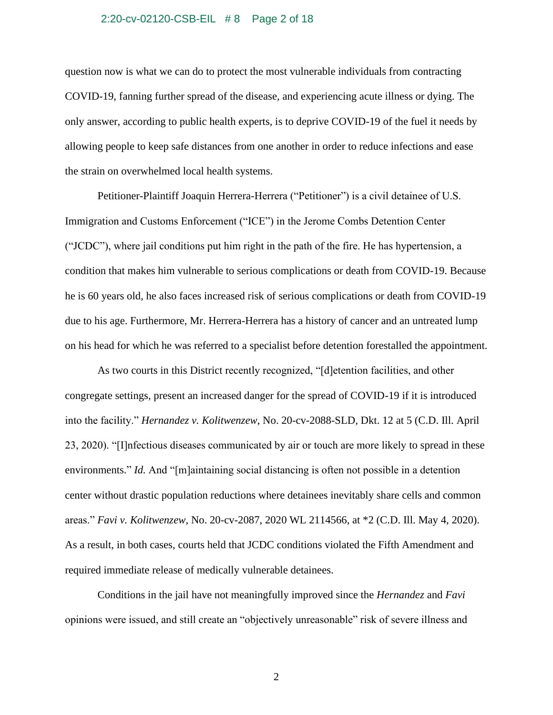#### 2:20-cv-02120-CSB-EIL # 8 Page 2 of 18

question now is what we can do to protect the most vulnerable individuals from contracting COVID-19, fanning further spread of the disease, and experiencing acute illness or dying. The only answer, according to public health experts, is to deprive COVID-19 of the fuel it needs by allowing people to keep safe distances from one another in order to reduce infections and ease the strain on overwhelmed local health systems.

Petitioner-Plaintiff Joaquin Herrera-Herrera ("Petitioner") is a civil detainee of U.S. Immigration and Customs Enforcement ("ICE") in the Jerome Combs Detention Center ("JCDC"), where jail conditions put him right in the path of the fire. He has hypertension, a condition that makes him vulnerable to serious complications or death from COVID-19. Because he is 60 years old, he also faces increased risk of serious complications or death from COVID-19 due to his age. Furthermore, Mr. Herrera-Herrera has a history of cancer and an untreated lump on his head for which he was referred to a specialist before detention forestalled the appointment.

As two courts in this District recently recognized, "[d]etention facilities, and other congregate settings, present an increased danger for the spread of COVID-19 if it is introduced into the facility." *Hernandez v. Kolitwenzew*, No. 20-cv-2088-SLD, Dkt. 12 at 5 (C.D. Ill. April 23, 2020). "[I]nfectious diseases communicated by air or touch are more likely to spread in these environments." *Id.* And "[m]aintaining social distancing is often not possible in a detention center without drastic population reductions where detainees inevitably share cells and common areas." *Favi v. Kolitwenzew*, No. 20-cv-2087, 2020 WL 2114566, at \*2 (C.D. Ill. May 4, 2020). As a result, in both cases, courts held that JCDC conditions violated the Fifth Amendment and required immediate release of medically vulnerable detainees.

Conditions in the jail have not meaningfully improved since the *Hernandez* and *Favi* opinions were issued, and still create an "objectively unreasonable" risk of severe illness and

2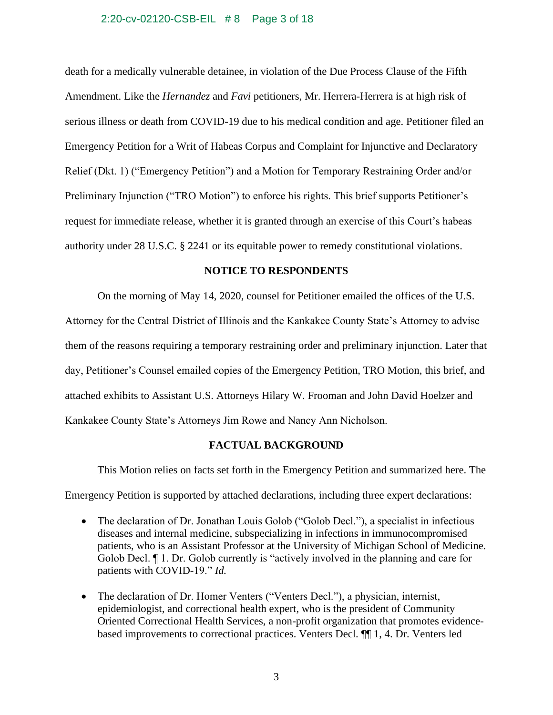### 2:20-cv-02120-CSB-EIL # 8 Page 3 of 18

death for a medically vulnerable detainee, in violation of the Due Process Clause of the Fifth Amendment. Like the *Hernandez* and *Favi* petitioners, Mr. Herrera-Herrera is at high risk of serious illness or death from COVID-19 due to his medical condition and age. Petitioner filed an Emergency Petition for a Writ of Habeas Corpus and Complaint for Injunctive and Declaratory Relief (Dkt. 1) ("Emergency Petition") and a Motion for Temporary Restraining Order and/or Preliminary Injunction ("TRO Motion") to enforce his rights. This brief supports Petitioner's request for immediate release, whether it is granted through an exercise of this Court's habeas authority under 28 U.S.C. § 2241 or its equitable power to remedy constitutional violations.

## **NOTICE TO RESPONDENTS**

On the morning of May 14, 2020, counsel for Petitioner emailed the offices of the U.S.

Attorney for the Central District of Illinois and the Kankakee County State's Attorney to advise them of the reasons requiring a temporary restraining order and preliminary injunction. Later that day, Petitioner's Counsel emailed copies of the Emergency Petition, TRO Motion, this brief, and attached exhibits to Assistant U.S. Attorneys Hilary W. Frooman and John David Hoelzer and Kankakee County State's Attorneys Jim Rowe and Nancy Ann Nicholson.

## **FACTUAL BACKGROUND**

This Motion relies on facts set forth in the Emergency Petition and summarized here. The

Emergency Petition is supported by attached declarations, including three expert declarations:

- The declaration of Dr. Jonathan Louis Golob ("Golob Decl."), a specialist in infectious diseases and internal medicine, subspecializing in infections in immunocompromised patients, who is an Assistant Professor at the University of Michigan School of Medicine. Golob Decl. ¶ 1. Dr. Golob currently is "actively involved in the planning and care for patients with COVID-19." *Id.*
- The declaration of Dr. Homer Venters ("Venters Decl."), a physician, internist, epidemiologist, and correctional health expert, who is the president of Community Oriented Correctional Health Services, a non-profit organization that promotes evidencebased improvements to correctional practices. Venters Decl. ¶¶ 1, 4. Dr. Venters led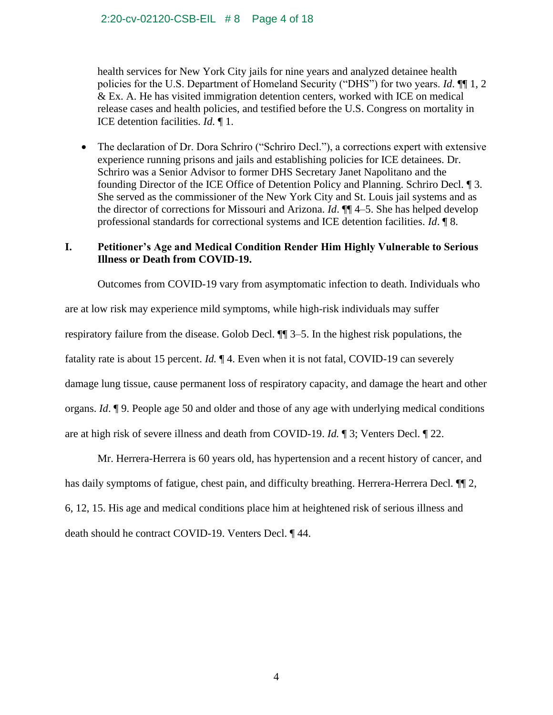health services for New York City jails for nine years and analyzed detainee health policies for the U.S. Department of Homeland Security ("DHS") for two years. *Id*. ¶¶ 1, 2 & Ex. A. He has visited immigration detention centers, worked with ICE on medical release cases and health policies, and testified before the U.S. Congress on mortality in ICE detention facilities. *Id.* ¶ 1.

• The declaration of Dr. Dora Schriro ("Schriro Decl."), a corrections expert with extensive experience running prisons and jails and establishing policies for ICE detainees. Dr. Schriro was a Senior Advisor to former DHS Secretary Janet Napolitano and the founding Director of the ICE Office of Detention Policy and Planning. Schriro Decl. ¶ 3. She served as the commissioner of the New York City and St. Louis jail systems and as the director of corrections for Missouri and Arizona. *Id*. ¶¶ 4–5. She has helped develop professional standards for correctional systems and ICE detention facilities. *Id*. ¶ 8.

# **I. Petitioner's Age and Medical Condition Render Him Highly Vulnerable to Serious Illness or Death from COVID-19.**

Outcomes from COVID-19 vary from asymptomatic infection to death. Individuals who are at low risk may experience mild symptoms, while high-risk individuals may suffer respiratory failure from the disease. Golob Decl. ¶¶ 3–5. In the highest risk populations, the fatality rate is about 15 percent. *Id.* ¶ 4. Even when it is not fatal, COVID-19 can severely damage lung tissue, cause permanent loss of respiratory capacity, and damage the heart and other organs. *Id*. ¶ 9. People age 50 and older and those of any age with underlying medical conditions are at high risk of severe illness and death from COVID-19. *Id.* ¶ 3; Venters Decl. ¶ 22.

Mr. Herrera-Herrera is 60 years old, has hypertension and a recent history of cancer, and has daily symptoms of fatigue, chest pain, and difficulty breathing. Herrera-Herrera Decl.  $\P$ 2, 6, 12, 15. His age and medical conditions place him at heightened risk of serious illness and death should he contract COVID-19. Venters Decl. ¶ 44.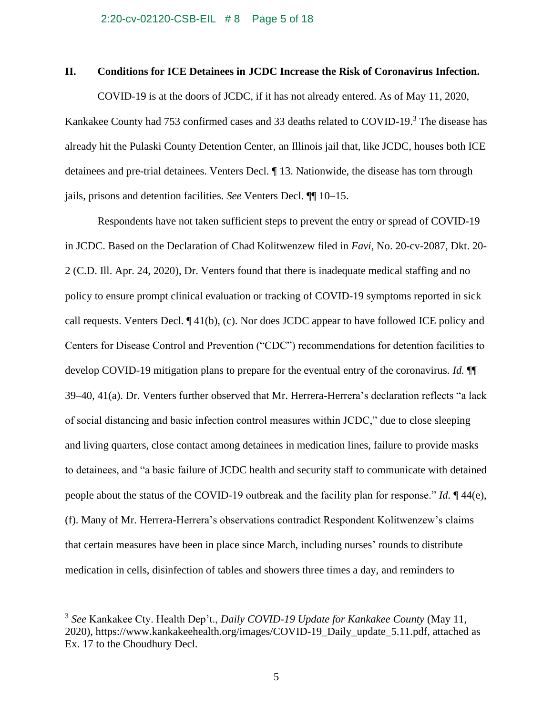## **II. Conditions for ICE Detainees in JCDC Increase the Risk of Coronavirus Infection.**

COVID-19 is at the doors of JCDC, if it has not already entered. As of May 11, 2020, Kankakee County had 753 confirmed cases and 33 deaths related to COVID-19.<sup>3</sup> The disease has already hit the Pulaski County Detention Center, an Illinois jail that, like JCDC, houses both ICE detainees and pre-trial detainees. Venters Decl. ¶ 13. Nationwide, the disease has torn through jails, prisons and detention facilities. *See* Venters Decl. ¶¶ 10–15.

Respondents have not taken sufficient steps to prevent the entry or spread of COVID-19 in JCDC. Based on the Declaration of Chad Kolitwenzew filed in *Favi*, No. 20-cv-2087, Dkt. 20- 2 (C.D. Ill. Apr. 24, 2020), Dr. Venters found that there is inadequate medical staffing and no policy to ensure prompt clinical evaluation or tracking of COVID-19 symptoms reported in sick call requests. Venters Decl. ¶ 41(b), (c). Nor does JCDC appear to have followed ICE policy and Centers for Disease Control and Prevention ("CDC") recommendations for detention facilities to develop COVID-19 mitigation plans to prepare for the eventual entry of the coronavirus. *Id.* ¶¶ 39–40, 41(a). Dr. Venters further observed that Mr. Herrera-Herrera's declaration reflects "a lack of social distancing and basic infection control measures within JCDC," due to close sleeping and living quarters, close contact among detainees in medication lines, failure to provide masks to detainees, and "a basic failure of JCDC health and security staff to communicate with detained people about the status of the COVID-19 outbreak and the facility plan for response." *Id.* ¶ 44(e), (f). Many of Mr. Herrera-Herrera's observations contradict Respondent Kolitwenzew's claims that certain measures have been in place since March, including nurses' rounds to distribute medication in cells, disinfection of tables and showers three times a day, and reminders to

<sup>3</sup> *See* Kankakee Cty. Health Dep't., *Daily COVID-19 Update for Kankakee County* (May 11, 2020), [https://www.kankakeehealth.org/images/COVID-19\\_Daily\\_update\\_5.11.pdf,](https://www.kankakeehealth.org/images/COVID-19_Daily_update_5.11.pdf) attached as Ex. 17 to the Choudhury Decl.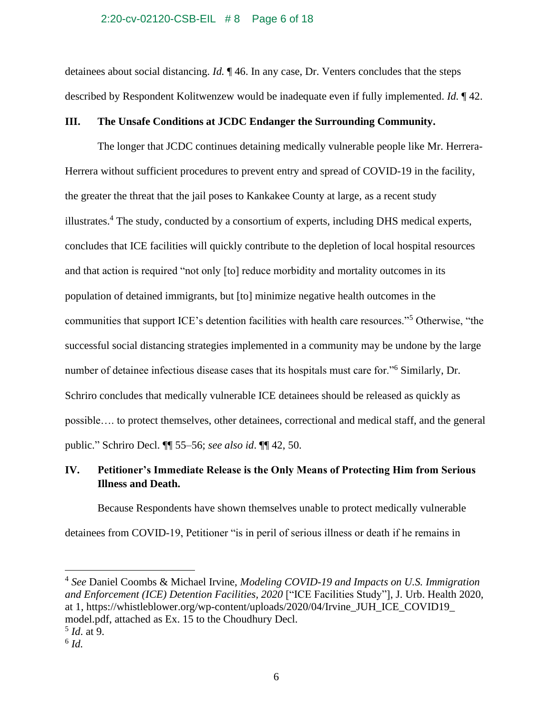#### 2:20-cv-02120-CSB-EIL # 8 Page 6 of 18

detainees about social distancing. *Id.* ¶ 46. In any case, Dr. Venters concludes that the steps described by Respondent Kolitwenzew would be inadequate even if fully implemented. *Id.* ¶ 42.

## **III. The Unsafe Conditions at JCDC Endanger the Surrounding Community.**

The longer that JCDC continues detaining medically vulnerable people like Mr. Herrera-Herrera without sufficient procedures to prevent entry and spread of COVID-19 in the facility, the greater the threat that the jail poses to Kankakee County at large, as a recent study illustrates.<sup>4</sup> The study, conducted by a consortium of experts, including DHS medical experts, concludes that ICE facilities will quickly contribute to the depletion of local hospital resources and that action is required "not only [to] reduce morbidity and mortality outcomes in its population of detained immigrants, but [to] minimize negative health outcomes in the communities that support ICE's detention facilities with health care resources."<sup>5</sup> Otherwise, "the successful social distancing strategies implemented in a community may be undone by the large number of detainee infectious disease cases that its hospitals must care for."<sup>6</sup> Similarly, Dr. Schriro concludes that medically vulnerable ICE detainees should be released as quickly as possible…. to protect themselves, other detainees, correctional and medical staff, and the general public." Schriro Decl. ¶¶ 55–56; *see also id*. ¶¶ 42, 50.

# **IV. Petitioner's Immediate Release is the Only Means of Protecting Him from Serious Illness and Death.**

Because Respondents have shown themselves unable to protect medically vulnerable detainees from COVID-19, Petitioner "is in peril of serious illness or death if he remains in

<sup>4</sup> *See* Daniel Coombs & Michael Irvine, *Modeling COVID-19 and Impacts on U.S. Immigration and Enforcement (ICE) Detention Facilities, 2020* ["ICE Facilities Study"], J. Urb. Health 2020, at 1, https://whistleblower.org/wp-content/uploads/2020/04/Irvine\_JUH\_ICE\_COVID19\_ model.pdf, attached as Ex. 15 to the Choudhury Decl.

<sup>5</sup> *Id*. at 9.

<sup>6</sup> *Id.*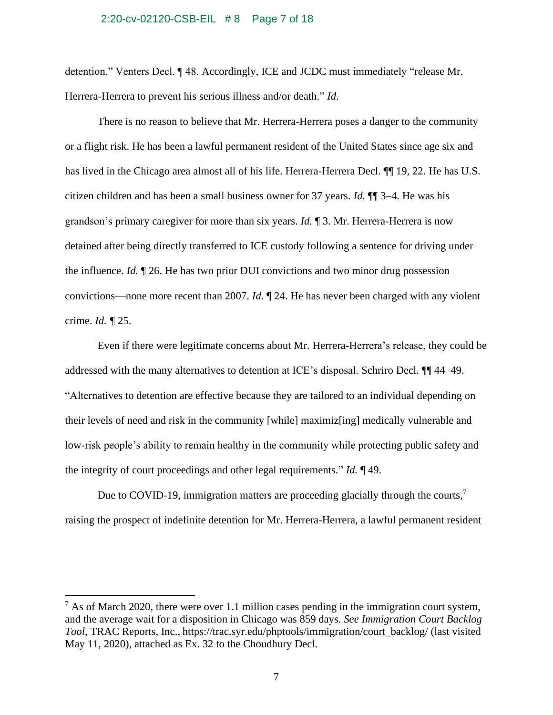#### 2:20-cv-02120-CSB-EIL # 8 Page 7 of 18

detention." Venters Decl. ¶ 48. Accordingly, ICE and JCDC must immediately "release Mr. Herrera-Herrera to prevent his serious illness and/or death." *Id*.

There is no reason to believe that Mr. Herrera-Herrera poses a danger to the community or a flight risk. He has been a lawful permanent resident of the United States since age six and has lived in the Chicago area almost all of his life. Herrera-Herrera Decl. ¶¶ 19, 22. He has U.S. citizen children and has been a small business owner for 37 years. *Id.* ¶¶ 3–4. He was his grandson's primary caregiver for more than six years. *Id.* ¶ 3. Mr. Herrera-Herrera is now detained after being directly transferred to ICE custody following a sentence for driving under the influence. *Id.* ¶ 26. He has two prior DUI convictions and two minor drug possession convictions—none more recent than 2007. *Id.* ¶ 24. He has never been charged with any violent crime. *Id. ¶* 25.

Even if there were legitimate concerns about Mr. Herrera-Herrera's release, they could be addressed with the many alternatives to detention at ICE's disposal. Schriro Decl. ¶¶ 44–49. "Alternatives to detention are effective because they are tailored to an individual depending on their levels of need and risk in the community [while] maximiz[ing] medically vulnerable and low-risk people's ability to remain healthy in the community while protecting public safety and the integrity of court proceedings and other legal requirements." *Id.* ¶ 49.

Due to COVID-19, immigration matters are proceeding glacially through the courts,<sup>7</sup> raising the prospect of indefinite detention for Mr. Herrera-Herrera, a lawful permanent resident

 $<sup>7</sup>$  As of March 2020, there were over 1.1 million cases pending in the immigration court system,</sup> and the average wait for a disposition in Chicago was 859 days. *See Immigration Court Backlog Tool*, TRAC Reports, Inc., [https://trac.syr.edu/phptools/immigration/court\\_backlog/](https://trac.syr.edu/phptools/immigration/court_backlog/) (last visited May 11, 2020), attached as Ex. 32 to the Choudhury Decl.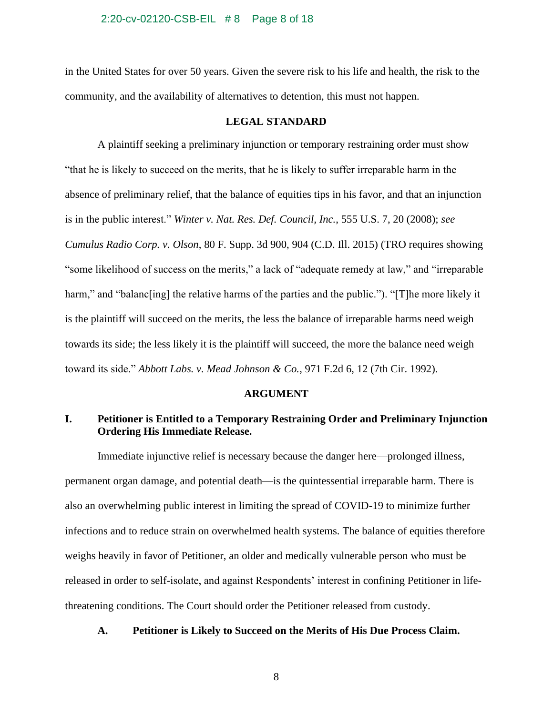#### 2:20-cv-02120-CSB-EIL # 8 Page 8 of 18

in the United States for over 50 years. Given the severe risk to his life and health, the risk to the community, and the availability of alternatives to detention, this must not happen.

## **LEGAL STANDARD**

A plaintiff seeking a preliminary injunction or temporary restraining order must show "that he is likely to succeed on the merits, that he is likely to suffer irreparable harm in the absence of preliminary relief, that the balance of equities tips in his favor, and that an injunction is in the public interest." *Winter v. Nat. Res. Def. Council, Inc.*, 555 U.S. 7, 20 (2008); *see Cumulus Radio Corp. v. Olson*, 80 F. Supp. 3d 900, 904 (C.D. Ill. 2015) (TRO requires showing "some likelihood of success on the merits," a lack of "adequate remedy at law," and "irreparable harm," and "balanc [ing] the relative harms of the parties and the public."). "[T] he more likely it is the plaintiff will succeed on the merits, the less the balance of irreparable harms need weigh towards its side; the less likely it is the plaintiff will succeed, the more the balance need weigh toward its side." *Abbott Labs. v. Mead Johnson & Co.*, 971 F.2d 6, 12 (7th Cir. 1992).

## **ARGUMENT**

# **I. Petitioner is Entitled to a Temporary Restraining Order and Preliminary Injunction Ordering His Immediate Release.**

Immediate injunctive relief is necessary because the danger here—prolonged illness, permanent organ damage, and potential death—is the quintessential irreparable harm. There is also an overwhelming public interest in limiting the spread of COVID-19 to minimize further infections and to reduce strain on overwhelmed health systems. The balance of equities therefore weighs heavily in favor of Petitioner, an older and medically vulnerable person who must be released in order to self-isolate, and against Respondents' interest in confining Petitioner in lifethreatening conditions. The Court should order the Petitioner released from custody.

## **A. Petitioner is Likely to Succeed on the Merits of His Due Process Claim.**

8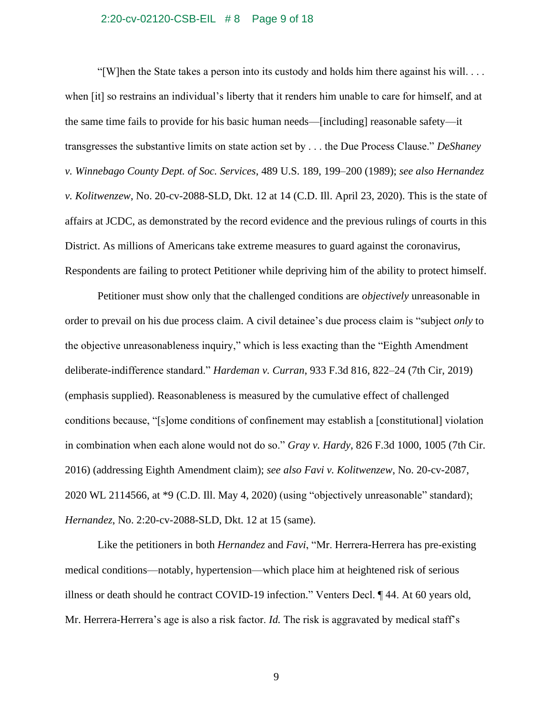#### 2:20-cv-02120-CSB-EIL # 8 Page 9 of 18

"[W]hen the State takes a person into its custody and holds him there against his will.  $\dots$ when [it] so restrains an individual's liberty that it renders him unable to care for himself, and at the same time fails to provide for his basic human needs—[including] reasonable safety—it transgresses the substantive limits on state action set by . . . the Due Process Clause." *DeShaney v. Winnebago County Dept. of Soc. Services*, 489 U.S. 189, 199–200 (1989); *see also Hernandez v. Kolitwenzew*, No. 20-cv-2088-SLD, Dkt. 12 at 14 (C.D. Ill. April 23, 2020). This is the state of affairs at JCDC, as demonstrated by the record evidence and the previous rulings of courts in this District. As millions of Americans take extreme measures to guard against the coronavirus, Respondents are failing to protect Petitioner while depriving him of the ability to protect himself.

Petitioner must show only that the challenged conditions are *objectively* unreasonable in order to prevail on his due process claim. A civil detainee's due process claim is "subject *only* to the objective unreasonableness inquiry," which is less exacting than the "Eighth Amendment deliberate-indifference standard." *Hardeman v. Curran*, 933 F.3d 816, 822–24 (7th Cir, 2019) (emphasis supplied). Reasonableness is measured by the cumulative effect of challenged conditions because, "[s]ome conditions of confinement may establish a [constitutional] violation in combination when each alone would not do so." *Gray v. Hardy*, 826 F.3d 1000, 1005 (7th Cir. 2016) (addressing Eighth Amendment claim); *see also Favi v. Kolitwenzew*, No. 20-cv-2087, 2020 WL 2114566, at \*9 (C.D. Ill. May 4, 2020) (using "objectively unreasonable" standard); *Hernandez*, No. 2:20-cv-2088-SLD, Dkt. 12 at 15 (same).

Like the petitioners in both *Hernandez* and *Favi*, "Mr. Herrera-Herrera has pre-existing medical conditions—notably, hypertension—which place him at heightened risk of serious illness or death should he contract COVID-19 infection." Venters Decl. ¶ 44. At 60 years old, Mr. Herrera-Herrera's age is also a risk factor. *Id.* The risk is aggravated by medical staff's

9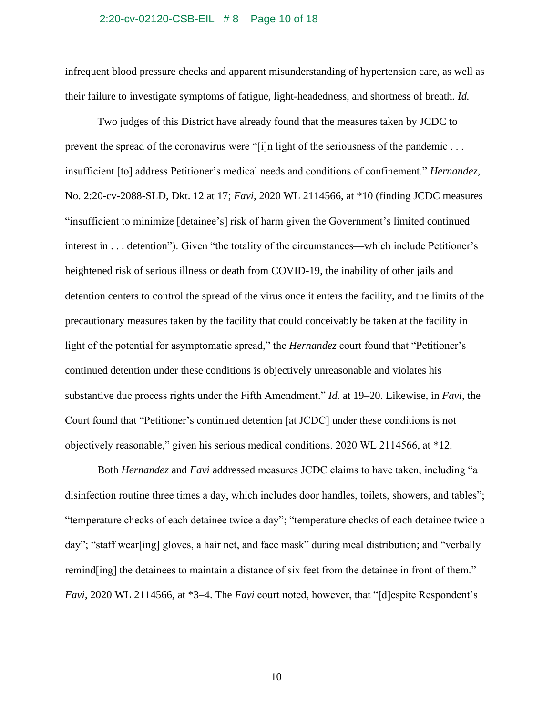#### 2:20-cv-02120-CSB-EIL # 8 Page 10 of 18

infrequent blood pressure checks and apparent misunderstanding of hypertension care, as well as their failure to investigate symptoms of fatigue, light-headedness, and shortness of breath. *Id.*

Two judges of this District have already found that the measures taken by JCDC to prevent the spread of the coronavirus were "[i]n light of the seriousness of the pandemic . . . insufficient [to] address Petitioner's medical needs and conditions of confinement." *Hernandez*, No. 2:20-cv-2088-SLD, Dkt. 12 at 17; *Favi*, 2020 WL 2114566, at \*10 (finding JCDC measures "insufficient to minimize [detainee's] risk of harm given the Government's limited continued interest in . . . detention"). Given "the totality of the circumstances—which include Petitioner's heightened risk of serious illness or death from COVID-19, the inability of other jails and detention centers to control the spread of the virus once it enters the facility, and the limits of the precautionary measures taken by the facility that could conceivably be taken at the facility in light of the potential for asymptomatic spread," the *Hernandez* court found that "Petitioner's continued detention under these conditions is objectively unreasonable and violates his substantive due process rights under the Fifth Amendment." *Id.* at 19–20. Likewise, in *Favi*, the Court found that "Petitioner's continued detention [at JCDC] under these conditions is not objectively reasonable," given his serious medical conditions. 2020 WL 2114566, at \*12.

Both *Hernandez* and *Favi* addressed measures JCDC claims to have taken, including "a disinfection routine three times a day, which includes door handles, toilets, showers, and tables"; "temperature checks of each detainee twice a day"; "temperature checks of each detainee twice a day"; "staff wear[ing] gloves, a hair net, and face mask" during meal distribution; and "verbally remind[ing] the detainees to maintain a distance of six feet from the detainee in front of them." *Favi*, 2020 WL 2114566, at \*3–4. The *Favi* court noted, however, that "[d]espite Respondent's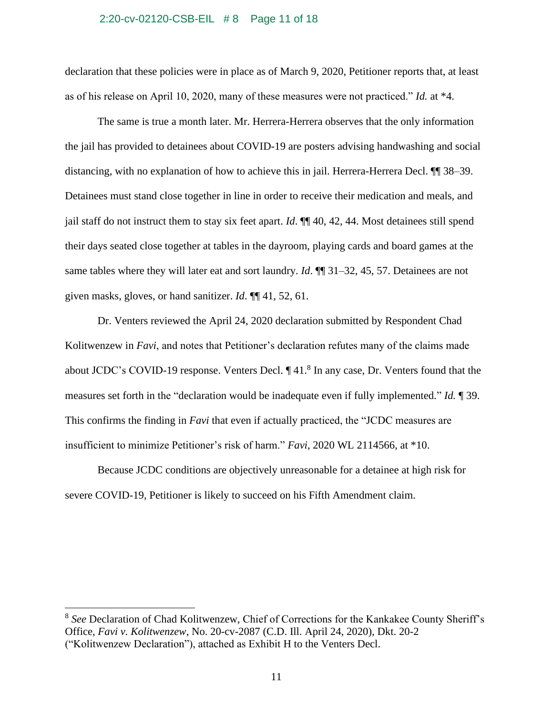#### 2:20-cv-02120-CSB-EIL # 8 Page 11 of 18

declaration that these policies were in place as of March 9, 2020, Petitioner reports that, at least as of his release on April 10, 2020, many of these measures were not practiced." *Id.* at \*4.

The same is true a month later. Mr. Herrera-Herrera observes that the only information the jail has provided to detainees about COVID-19 are posters advising handwashing and social distancing, with no explanation of how to achieve this in jail. Herrera-Herrera Decl. ¶¶ 38–39. Detainees must stand close together in line in order to receive their medication and meals, and jail staff do not instruct them to stay six feet apart. *Id*. ¶¶ 40, 42, 44. Most detainees still spend their days seated close together at tables in the dayroom, playing cards and board games at the same tables where they will later eat and sort laundry. *Id*. ¶¶ 31–32, 45, 57. Detainees are not given masks, gloves, or hand sanitizer. *Id*. ¶¶ 41, 52, 61.

Dr. Venters reviewed the April 24, 2020 declaration submitted by Respondent Chad Kolitwenzew in *Favi*, and notes that Petitioner's declaration refutes many of the claims made about JCDC's COVID-19 response. Venters Decl.  $\P$ 41.<sup>8</sup> In any case, Dr. Venters found that the measures set forth in the "declaration would be inadequate even if fully implemented." *Id.* ¶ 39. This confirms the finding in *Favi* that even if actually practiced, the "JCDC measures are insufficient to minimize Petitioner's risk of harm." *Favi*, 2020 WL 2114566, at \*10.

Because JCDC conditions are objectively unreasonable for a detainee at high risk for severe COVID-19, Petitioner is likely to succeed on his Fifth Amendment claim.

<sup>8</sup> *See* Declaration of Chad Kolitwenzew, Chief of Corrections for the Kankakee County Sheriff's Office, *Favi v. Kolitwenzew*, No. 20-cv-2087 (C.D. Ill. April 24, 2020), Dkt. 20-2 ("Kolitwenzew Declaration"), attached as Exhibit H to the Venters Decl.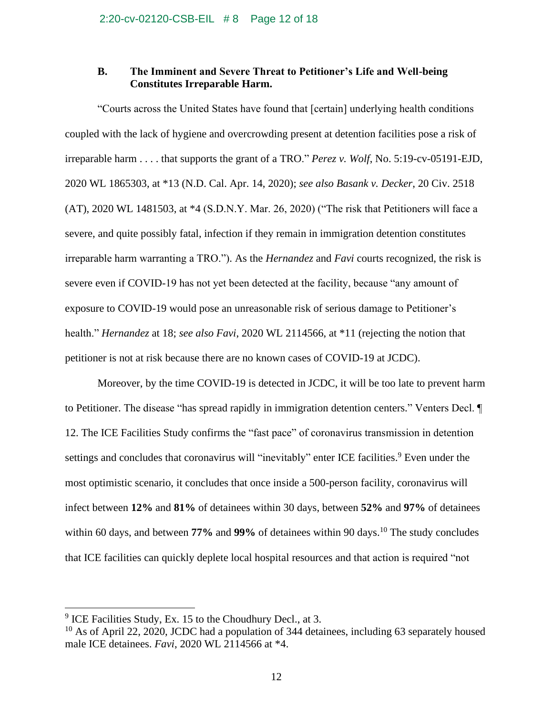## **B. The Imminent and Severe Threat to Petitioner's Life and Well-being Constitutes Irreparable Harm.**

"Courts across the United States have found that [certain] underlying health conditions coupled with the lack of hygiene and overcrowding present at detention facilities pose a risk of irreparable harm . . . . that supports the grant of a TRO." *Perez v. Wolf*, No. 5:19-cv-05191-EJD, 2020 WL 1865303, at \*13 (N.D. Cal. Apr. 14, 2020); *see also Basank v. Decker*, 20 Civ. 2518 (AT), 2020 WL 1481503, at \*4 (S.D.N.Y. Mar. 26, 2020) ("The risk that Petitioners will face a severe, and quite possibly fatal, infection if they remain in immigration detention constitutes irreparable harm warranting a TRO."). As the *Hernandez* and *Favi* courts recognized, the risk is severe even if COVID-19 has not yet been detected at the facility, because "any amount of exposure to COVID-19 would pose an unreasonable risk of serious damage to Petitioner's health." *Hernandez* at 18; *see also Favi*, 2020 WL 2114566, at \*11 (rejecting the notion that petitioner is not at risk because there are no known cases of COVID-19 at JCDC).

Moreover, by the time COVID-19 is detected in JCDC, it will be too late to prevent harm to Petitioner. The disease "has spread rapidly in immigration detention centers." Venters Decl. ¶ 12. The ICE Facilities Study confirms the "fast pace" of coronavirus transmission in detention settings and concludes that coronavirus will "inevitably" enter ICE facilities.<sup>9</sup> Even under the most optimistic scenario, it concludes that once inside a 500-person facility, coronavirus will infect between **12%** and **81%** of detainees within 30 days, between **52%** and **97%** of detainees within 60 days, and between 77% and 99% of detainees within 90 days.<sup>10</sup> The study concludes that ICE facilities can quickly deplete local hospital resources and that action is required "not

 $9$  ICE Facilities Study, Ex. 15 to the Choudhury Decl., at 3.

 $10$  As of April 22, 2020, JCDC had a population of 344 detainees, including 63 separately housed male ICE detainees. *Favi*, 2020 WL 2114566 at \*4.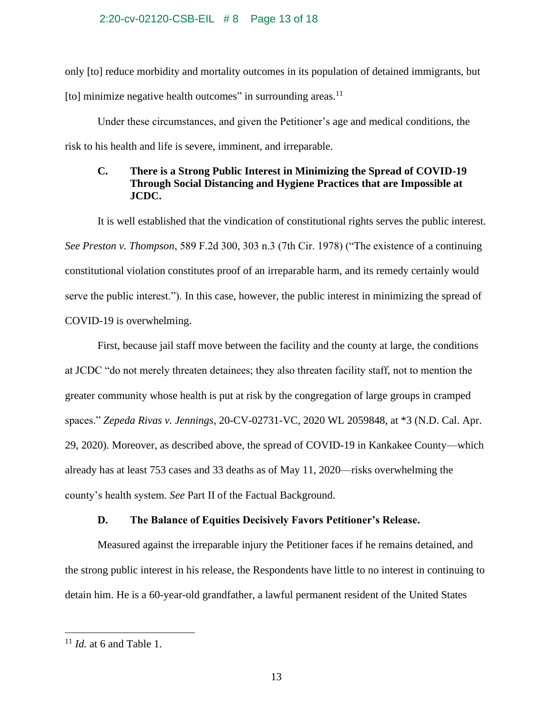### 2:20-cv-02120-CSB-EIL # 8 Page 13 of 18

only [to] reduce morbidity and mortality outcomes in its population of detained immigrants, but [to] minimize negative health outcomes" in surrounding areas. $^{11}$ 

Under these circumstances, and given the Petitioner's age and medical conditions, the risk to his health and life is severe, imminent, and irreparable.

# **C. There is a Strong Public Interest in Minimizing the Spread of COVID-19 Through Social Distancing and Hygiene Practices that are Impossible at JCDC.**

It is well established that the vindication of constitutional rights serves the public interest. *See Preston v. Thompson*, 589 F.2d 300, 303 n.3 (7th Cir. 1978) ("The existence of a continuing constitutional violation constitutes proof of an irreparable harm, and its remedy certainly would serve the public interest."). In this case, however, the public interest in minimizing the spread of COVID-19 is overwhelming.

First, because jail staff move between the facility and the county at large, the conditions at JCDC "do not merely threaten detainees; they also threaten facility staff, not to mention the greater community whose health is put at risk by the congregation of large groups in cramped spaces." *Zepeda Rivas v. Jennings*, 20-CV-02731-VC, 2020 WL 2059848, at \*3 (N.D. Cal. Apr. 29, 2020). Moreover, as described above, the spread of COVID-19 in Kankakee County—which already has at least 753 cases and 33 deaths as of May 11, 2020—risks overwhelming the county's health system. *See* Part II of the Factual Background.

## **D. The Balance of Equities Decisively Favors Petitioner's Release.**

Measured against the irreparable injury the Petitioner faces if he remains detained, and the strong public interest in his release, the Respondents have little to no interest in continuing to detain him. He is a 60-year-old grandfather, a lawful permanent resident of the United States

<sup>11</sup> *Id.* at 6 and Table 1.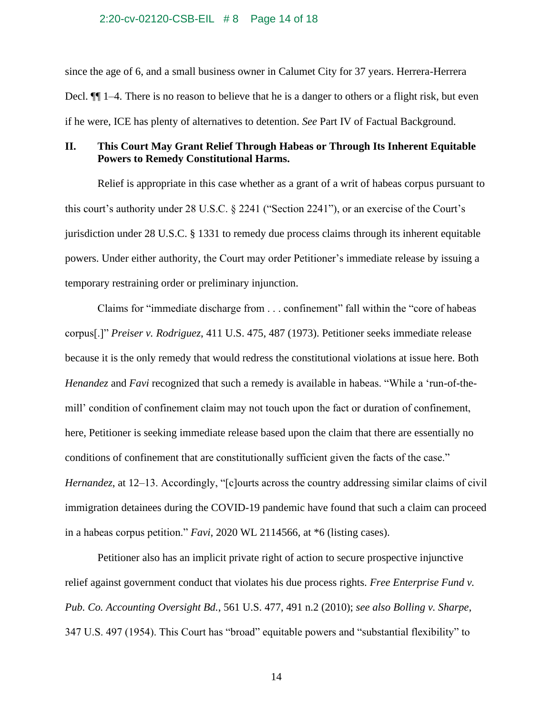#### 2:20-cv-02120-CSB-EIL # 8 Page 14 of 18

since the age of 6, and a small business owner in Calumet City for 37 years. Herrera-Herrera Decl. ¶¶ 1–4. There is no reason to believe that he is a danger to others or a flight risk, but even if he were, ICE has plenty of alternatives to detention. *See* Part IV of Factual Background.

# **II. This Court May Grant Relief Through Habeas or Through Its Inherent Equitable Powers to Remedy Constitutional Harms.**

Relief is appropriate in this case whether as a grant of a writ of habeas corpus pursuant to this court's authority under 28 U.S.C. § 2241 ("Section 2241"), or an exercise of the Court's jurisdiction under 28 U.S.C. § 1331 to remedy due process claims through its inherent equitable powers. Under either authority, the Court may order Petitioner's immediate release by issuing a temporary restraining order or preliminary injunction.

Claims for "immediate discharge from . . . confinement" fall within the "core of habeas corpus[.]" *Preiser v. Rodriguez*, 411 U.S. 475, 487 (1973). Petitioner seeks immediate release because it is the only remedy that would redress the constitutional violations at issue here. Both *Henandez* and *Favi* recognized that such a remedy is available in habeas. "While a 'run-of-themill' condition of confinement claim may not touch upon the fact or duration of confinement, here, Petitioner is seeking immediate release based upon the claim that there are essentially no conditions of confinement that are constitutionally sufficient given the facts of the case." *Hernandez*, at 12–13. Accordingly, "[c]ourts across the country addressing similar claims of civil immigration detainees during the COVID-19 pandemic have found that such a claim can proceed in a habeas corpus petition." *Favi*, 2020 WL 2114566, at \*6 (listing cases).

Petitioner also has an implicit private right of action to secure prospective injunctive relief against government conduct that violates his due process rights. *Free Enterprise Fund v. Pub. Co. Accounting Oversight Bd.*, 561 U.S. 477, 491 n.2 (2010); *see also Bolling v. Sharpe*, 347 U.S. 497 (1954). This Court has "broad" equitable powers and "substantial flexibility" to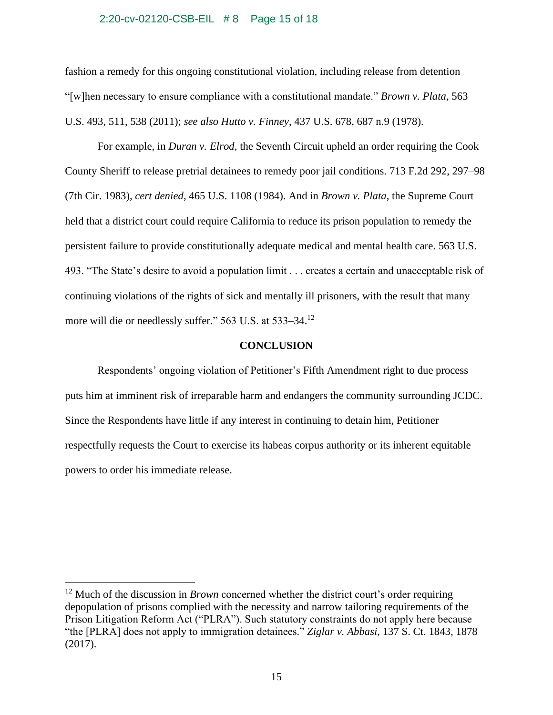#### 2:20-cv-02120-CSB-EIL # 8 Page 15 of 18

fashion a remedy for this ongoing constitutional violation, including release from detention "[w]hen necessary to ensure compliance with a constitutional mandate." *Brown v. Plata*, 563 U.S. 493, 511, 538 (2011); *see also Hutto v. Finney*, 437 U.S. 678, 687 n.9 (1978).

For example, in *Duran v. Elrod*, the Seventh Circuit upheld an order requiring the Cook County Sheriff to release pretrial detainees to remedy poor jail conditions. 713 F.2d 292, 297–98 (7th Cir. 1983), *cert denied*, 465 U.S. 1108 (1984). And in *Brown v. Plata*, the Supreme Court held that a district court could require California to reduce its prison population to remedy the persistent failure to provide constitutionally adequate medical and mental health care. 563 U.S. 493. "The State's desire to avoid a population limit . . . creates a certain and unacceptable risk of continuing violations of the rights of sick and mentally ill prisoners, with the result that many more will die or needlessly suffer." 563 U.S. at 533–34.<sup>12</sup>

#### **CONCLUSION**

Respondents' ongoing violation of Petitioner's Fifth Amendment right to due process puts him at imminent risk of irreparable harm and endangers the community surrounding JCDC. Since the Respondents have little if any interest in continuing to detain him, Petitioner respectfully requests the Court to exercise its habeas corpus authority or its inherent equitable powers to order his immediate release.

<sup>&</sup>lt;sup>12</sup> Much of the discussion in *Brown* concerned whether the district court's order requiring depopulation of prisons complied with the necessity and narrow tailoring requirements of the Prison Litigation Reform Act ("PLRA"). Such statutory constraints do not apply here because "the [PLRA] does not apply to immigration detainees." *Ziglar v. Abbasi*, 137 S. Ct. 1843, 1878 (2017).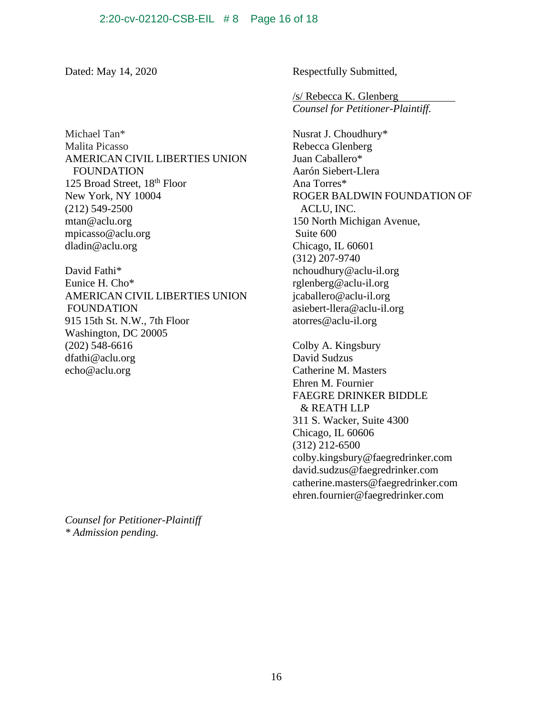Michael Tan\* Malita Picasso AMERICAN CIVIL LIBERTIES UNION FOUNDATION 125 Broad Street, 18<sup>th</sup> Floor New York, NY 10004 (212) 549-2500 mtan@aclu.org [mpicasso@aclu.org](mailto:mpicasso@aclu.org) [dladin@aclu.org](mailto:dladin@aclu.org)

David Fathi\* Eunice H. Cho\* AMERICAN CIVIL LIBERTIES UNION FOUNDATION 915 15th St. N.W., 7th Floor Washington, DC 20005 (202) 548-6616 [dfathi@aclu.org](mailto:dfathi@aclu.org) [echo@aclu.org](mailto:echo@aclu.org)

*Counsel for Petitioner-Plaintiff \* Admission pending.*

Dated: May 14, 2020 Respectfully Submitted,

/s/ Rebecca K. Glenberg *Counsel for Petitioner-Plaintiff.*

Nusrat J. Choudhury\* Rebecca Glenberg Juan Caballero\* Aarón Siebert-Llera Ana Torres\* ROGER BALDWIN FOUNDATION OF ACLU, INC. 150 North Michigan Avenue, Suite 600 Chicago, IL 60601 (312) 207-9740 nchoudhury@aclu-il.org rglenberg@aclu-il.org [jcaballero@aclu-il.org](mailto:jcaballero@aclu-il.org) [asiebert-llera@aclu-il.org](mailto:asiebert-llera@aclu-il.org) atorres@aclu-il.org

Colby A. Kingsbury David Sudzus Catherine M. Masters Ehren M. Fournier FAEGRE DRINKER BIDDLE & REATH LLP 311 S. Wacker, Suite 4300 Chicago, IL 60606 (312) 212-6500 [colby.kingsbury@faegredrinker.com](mailto:Colby.Kingsbury@faegredrinker.com) [david.sudzus@faegredrinker.com](mailto:david.sudzus@faegredrinker.com) catherine.masters@faegredrinker.com ehren.fournier@faegredrinker.com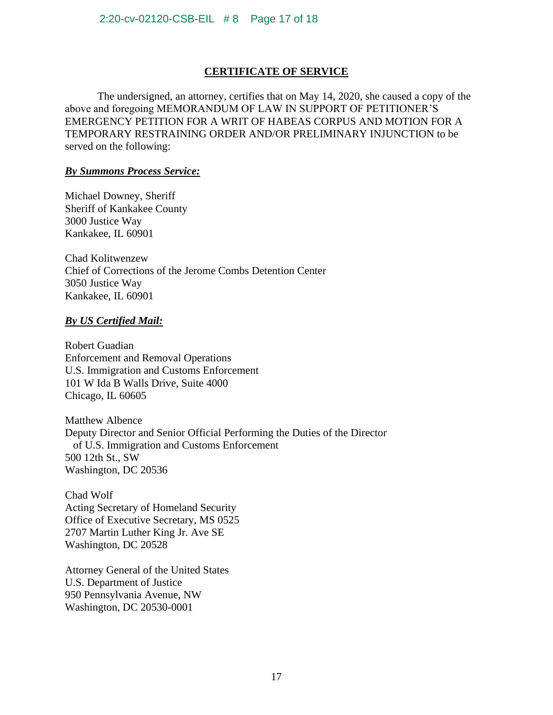# **CERTIFICATE OF SERVICE**

The undersigned, an attorney, certifies that on May 14, 2020, she caused a copy of the above and foregoing MEMORANDUM OF LAW IN SUPPORT OF PETITIONER'S EMERGENCY PETITION FOR A WRIT OF HABEAS CORPUS AND MOTION FOR A TEMPORARY RESTRAINING ORDER AND/OR PRELIMINARY INJUNCTION to be served on the following:

# *By Summons Process Service:*

Michael Downey, Sheriff Sheriff of Kankakee County 3000 Justice Way Kankakee, IL 60901

Chad Kolitwenzew Chief of Corrections of the Jerome Combs Detention Center 3050 Justice Way Kankakee, IL 60901

# *By US Certified Mail:*

Robert Guadian Enforcement and Removal Operations U.S. Immigration and Customs Enforcement 101 W Ida B Walls Drive, Suite 4000 Chicago, IL 60605

Matthew Albence Deputy Director and Senior Official Performing the Duties of the Director of U.S. Immigration and Customs Enforcement 500 12th St., SW Washington, DC 20536

Chad Wolf Acting Secretary of Homeland Security Office of Executive Secretary, MS 0525 2707 Martin Luther King Jr. Ave SE Washington, DC 20528

Attorney General of the United States U.S. Department of Justice 950 Pennsylvania Avenue, NW Washington, DC 20530-0001